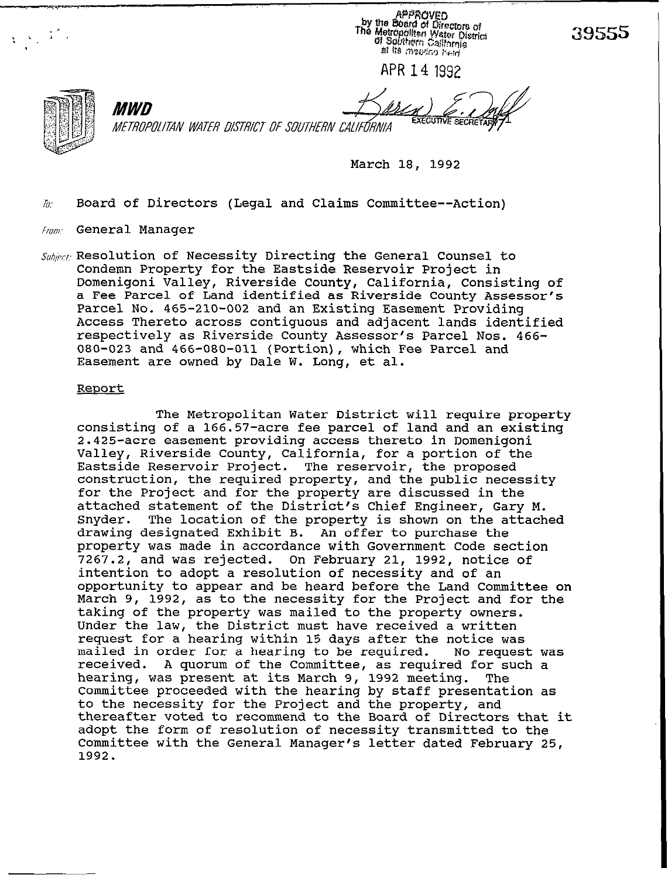APPROVED<br>by the Board of Directors of<br>The Metropolitan Water District<br>of Solutions California af its measing held

39555

APR14 1992

*MWD* 

**EXECUTIVE SECRE** 

METROPOLITAN WATER DISTRICT OF SOUTHERN CALIFÓRNIA

March 18, 1992

 $\hbar$ . Board of Directors (Legal and Claims Committee--Action)

- $F_{FQIII}$ : General Manager
- $\mathit{Subject}$  Resolution of Necessity Directing the General Counsel to Condemn Property for the Eastside Reservoir Project in Domenigoni Valley, Riverside County, California, Consisting of a Fee Parcel of Land identified as Riverside County Assessor's Parcel No. 465-210-002 and an Existing Easement Providing Access Thereto across contiguous and adjacent lands identified respectively as Riverside County Assessor's Parcel Nos. 466- 080-023 and 466-080-011 (Portion), which Fee Parcel and Easement are owned by Dale W. Long, et al.

### **Report**

The Metropolitan Water District will require property consisting of a 166.57-acre fee parcel of land and an existing 2.425-acre easement Providing access thereto in Domenigoni Valley, Riverside County, California, for a portion of the Eastside Reservoir Project. The reservoir, the proposed construction, the required property, and the public necessity for the Project and for the property are discussed in the attached statement of the District's Chief Engineer, Gary M.<br>Snyder. The location of the property is shown on the attach The location of the property is shown on the attached drawing designated Exhibit B. An offer to purchase the property was made in accordance with Government Code section 7267.2, and was rejected. On February 21, 1992, notice of intention to adopt a resolution of necessity and of an opportunity to appear and be heard before the Land Committee on March 9, 1992, as to the necessity for the Project and for the taking of the property was mailed to the property owners. Under the law, the District must have received a written request for a hearing within 15 days after the notice was<br>mailed in order for a hearing to be required. No request was mailed in order for a hearing to be required. received. A quorum of the Committee, as required for such a hearing, was present at its March 9, 1992 meeting. The Committee proceeded with the hearing by staff presentation as to the necessity for the Project and the property, and thereafter voted to recommend to the Board of Directors that it adopt the form of resolution of necessity transmitted to the Committee with the General Manager's letter dated February 25, 1992.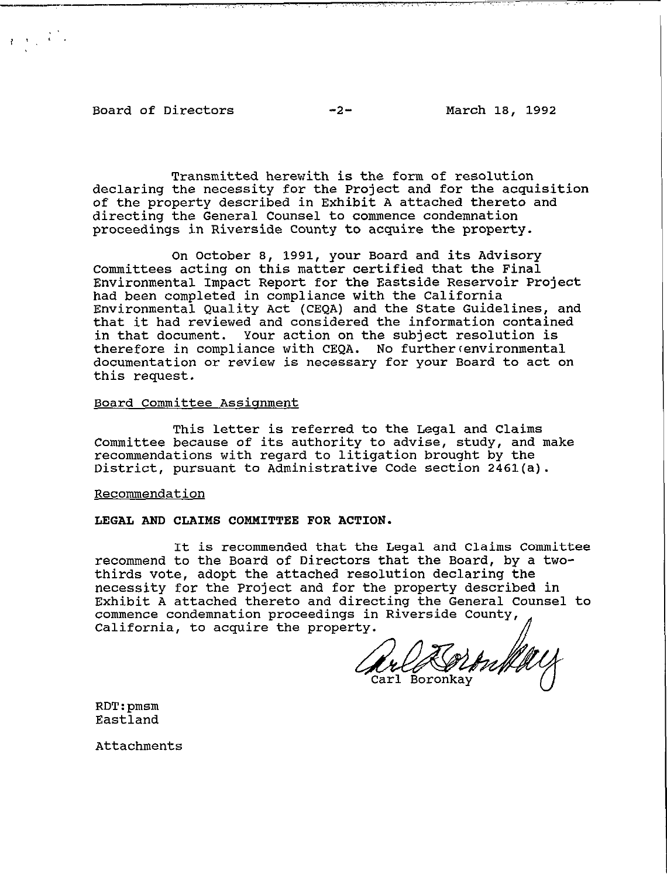**Board of Directors -2- March 18, 1992** 

 $\frac{1}{2}$ ,  $\frac{1}{2}$ ,  $\frac{1}{2}$ ,  $\frac{1}{2}$ ,  $\frac{1}{2}$ ,  $\frac{1}{2}$ ,  $\frac{1}{2}$ ,  $\frac{1}{2}$ ,  $\frac{1}{2}$ ,  $\frac{1}{2}$ ,  $\frac{1}{2}$ ,  $\frac{1}{2}$ ,  $\frac{1}{2}$ ,  $\frac{1}{2}$ ,  $\frac{1}{2}$ ,  $\frac{1}{2}$ ,  $\frac{1}{2}$ ,  $\frac{1}{2}$ ,  $\frac{1}{2}$ ,  $\frac{1}{2}$ ,

**Transmitted herewith is the form of resolution declaring the necessity for the Project and for the acquisition of the property described in Exhibit A attached thereto and directing the General Counsel to commence condemnation proceedings in Riverside County to acquire the property.** 

**On October 8, 1991, your Board and its Advisory Committees acting on this matter certified that the Final Environmental Impact Report for the Eastside Reservoir Project had been completed in compliance with the California Environmental Quality Act (CEQA) and the State Guidelines, and that it had reviewed and considered the information contained in that document. Your action on the subject resolution is therefore in compliance with CEQA. No furthercenvironmental documentation or review is necessary for your Board to act on this request.** 

# **Board Committee Assicrnment**

**This letter is referred to the Legal and Claims Committee because of its authority to advise, study, and make recommendations with regard to litigation brought by the District, pursuant to Administrative Code section 2461(a).** 

### **Recommendation**

#### **LEGAL AND CLAIMS COMMITTEE FOR ACTION.**

**It is recommended that the Legal and Claims Committee recommend to the Board of Directors that the Board, by a twothirds vote, adopt the attached resolution declaring the necessity for the Project and for the property described in Exhibit A attached thereto and directing the General Counsel to commence condemnation proceedings in Riverside County,**  California, to acquire the property.

Carl Boronkay

**RDT:pmsm Eastland** 

**Attachments**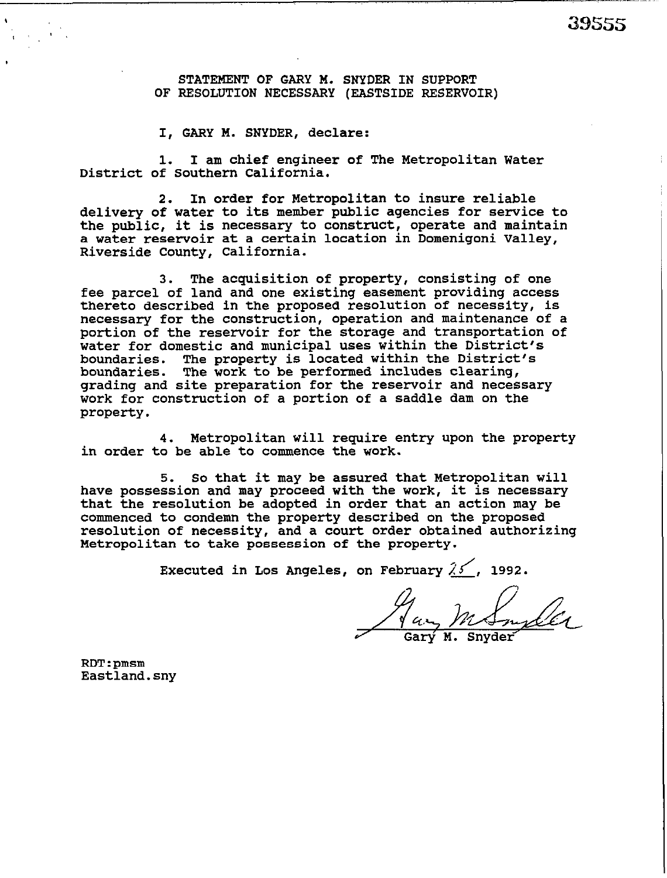-,..\_

STATEMENT OF GARY M. SNYDER IN SUPPORT **OF RESOLUTION NECESSARY (EASTSIDE RESERVOIR)** 

**I, GARY M. SNYDER,** declare:

1. I am chief engineer of The Metropolitan Water District of Southern California.

2. In order for Metropolitan to insure reliable delivery of water to its member public agencies for service to the public, it is necessary to construct, operate and maintain a water reservoir at a certain location in Domenigoni Valley, Riverside County, California.

3. The acquisition **of** property, consisting of one fee parcel of land and one existing easement providing access thereto described in the proposed resolution of necessity, is necessary for the construction, operation and maintenance of a portion of the reservoir for the storage and transportation of water for domestic and municipal uses within the District's boundaries. The property is located within the District's boundaries. The work to be performed includes clearing, grading and site preparation for the reservoir and necessary work for construction of a portion of a saddle dam on the property.

4. Metropolitan will require entry upon the property in order to be able to commence the work.

5. So that it may be assured that Metropolitan will have possession and may proceed with the work, it is necessary<br>that the resolution be adopted in exder that an action way be that the resolution be adopted in order tnat an action may be commenced to condemn the property described on the proposed resolution of necessity, and a court order obtained authorizing Metropolitan to take possession **of** the property.

Executed in Los Angeles, on February  $25'$ , 1992.

Jan M Smiler

RDT:pmsm Eastland.sny

<sup>I</sup>.,'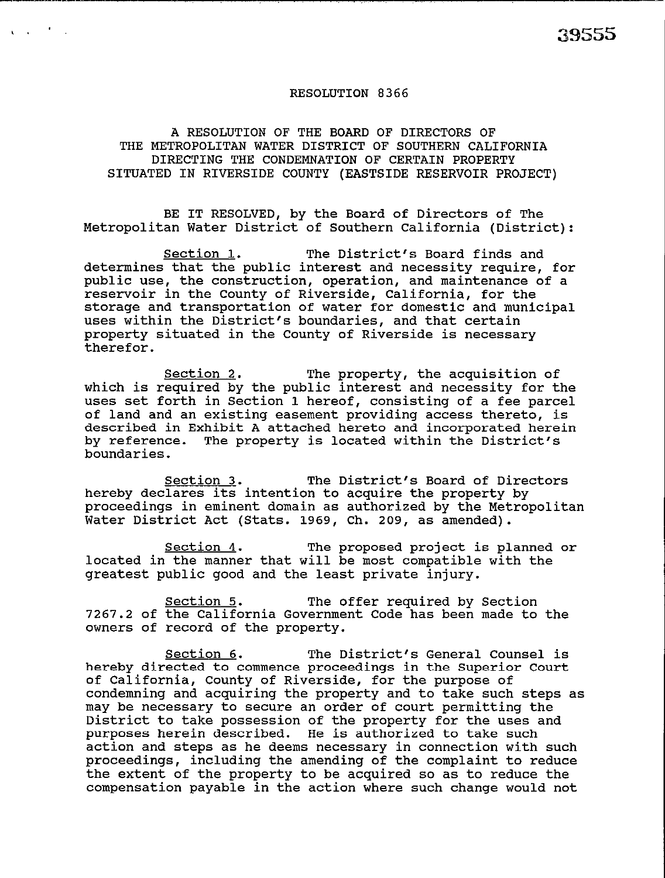# RESOLUTION 8366

A RESOLUTION OF THE **BOARD OF DIRECTORS OF THE METROPOLITAN WATER DISTRICT OF SOUTHERN CALIFORNIA DIRECTING THE CONDEMNATION OF CERTAIN PROPERTY SITUATED IN RIVERSIDE COUNTY (EASTSIDE RESERVOIR PROJECT)** 

BE IT RESOLVED, by the Board of Directors of The Metropolitan Water District of Southern California (District):

Section 1. The District's Board finds and determines that the public interest and necessity require, for public use, the construction, operation, and maintenance of a reservoir in the County of Riverside, California, for the storage and transportation of water for domestic and municipal uses within the District's boundaries, and that certain property situated in the County of Riverside is necessary therefor.

Section 2. The property, the acquisition of which is required by the public interest and necessity for the uses set forth in Section 1 hereof, consisting of a fee parcel of land and an existing easement providing access thereto, is described in Exhibit A attached hereto and incorporated herein by reference. The property is located within the District's boundaries.

Section 3. The District's Board of Directors hereby declares its intention to acquire the property by proceedings in eminent domain as authorized by the Metropolitan Water District Act (Stats. 1969, Ch. 209, as amended).

Section 4. The proposed project is planned or located in the manner that will be most compatible with the greatest public good and the least private injury.

Section 5. The offer required by Section 7267.2 of the California Government Code has been made to the owners of record of the property.

Section 6. The District's General Counsel is hereby directed to commence proceedings in the Superior Court of California, County of Riverside, for the purpose of condemning and acquiring the property and to take such steps as may be necessary to secure an order of court permitting the District to take possession of the property for the uses and purposes herein described. He is authorized to take such action and steps as he deems necessary in connection with such proceedings, including the amending of the complaint to reduce the extent of the property to be acquired so as to reduce the compensation payable in the action where such change would not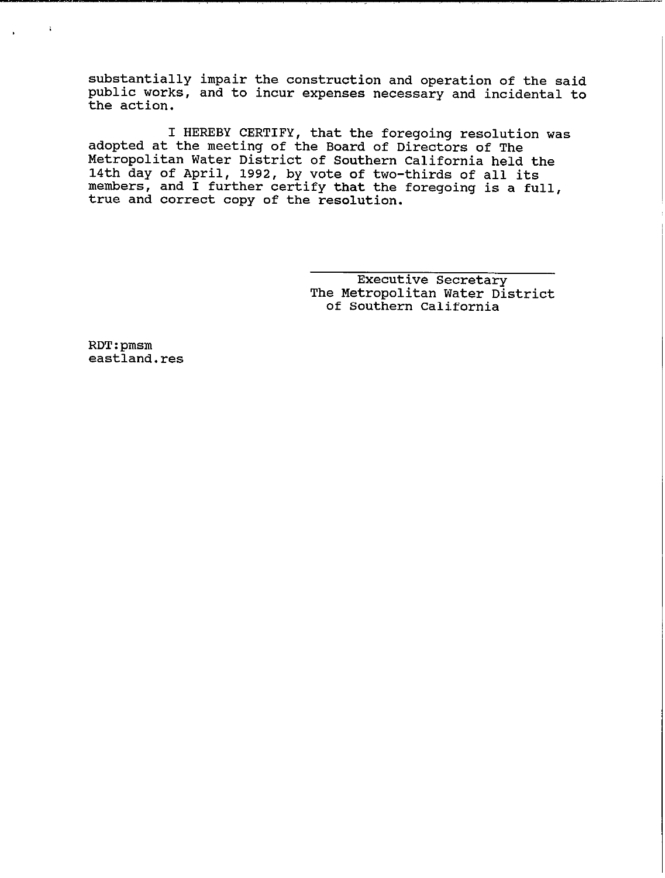substantially impair the construction and operation of the said public works, and to incur expenses necessary and incidental to the action.

I HEREBY CERTIFY, that the foregoing resolution was adopted at the meeting of the Board of Directors of The Metropolitan Water District of Southern California held the 14th day of April, 1992, by vote of two-thirds of all its members, and I further certify that the foregoing is a full, true and correct copy of the resolution.

> Executive Secretary The Metropolitan Water District of Southern California

RDT:pmsm eastland.res

 $\ddot{\bullet}$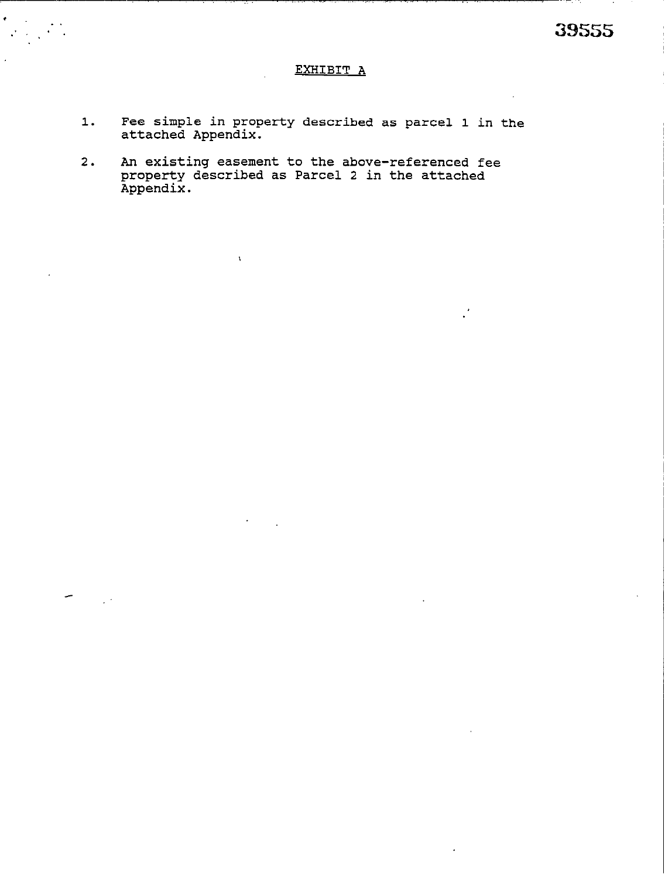# EXHIBIT A

- Fee simple in property described as parcel 1 in the attached Appendix.  $1.$
- An existing easement to the above-referenced fee<br>property described as Parcel 2 in the attached<br>Appendix.  $2.$

 $\bar{\chi}$ 

 $\sim$   $\sim$ 

 $\bullet$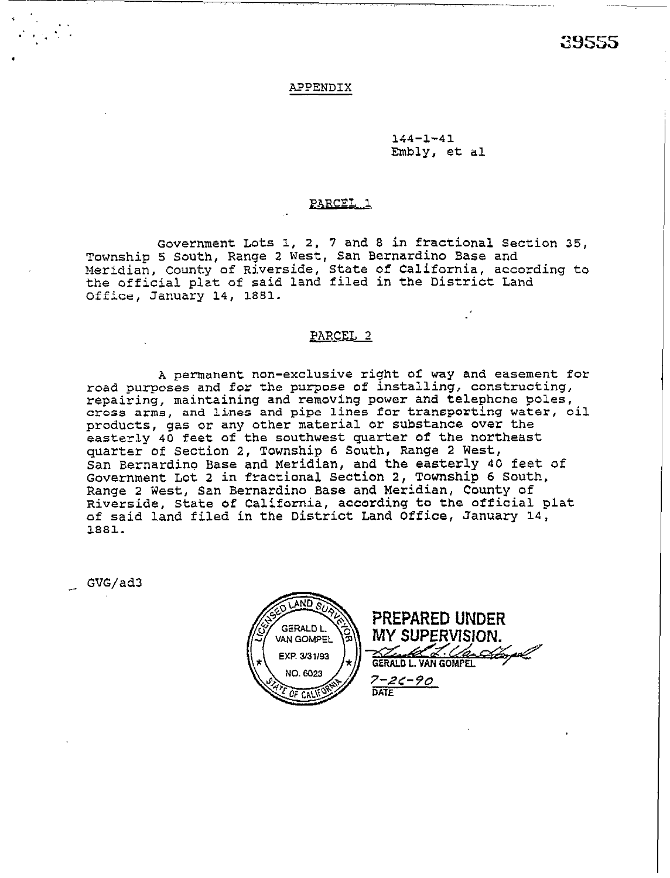39555

### APPENDIX

144-l-41 Embly, et al

,, -.~\_i~~.

## **EARCEL 1**

Government Lots 1, 2, 7 and 8 in fractional Section 35, Township 5 South, Range 2 West, San Bernardino Base and Meridian, County of Riverside, State of California, according to the official plat of said land filed in the District Land Office, January 14, 1681.

### PARCEL 2

A permanent non-exclusive right of way and easement for road purposes and for the purpose of installing, constructing, repairing, maintaining and removing power and telephone poles, cross arms, and lines and pipe lines for transporting water, oil products, gas or any other material or substance over the easterly 40 feet of the southwest quarter of the northeast quarter of Section 2, Township 6 South, Range 2 West, San Bernardino Base and Meridian, and the easterly 40 feet of Government Lot 2 in fractional Section 2, Township 6 South, Range 2 West, San Bernardino Base and Meridian, County of Riverside, State of California, according to the official plat of said land filed in the District Land Office, January **14,**  1881.

\_ GVG/ad3